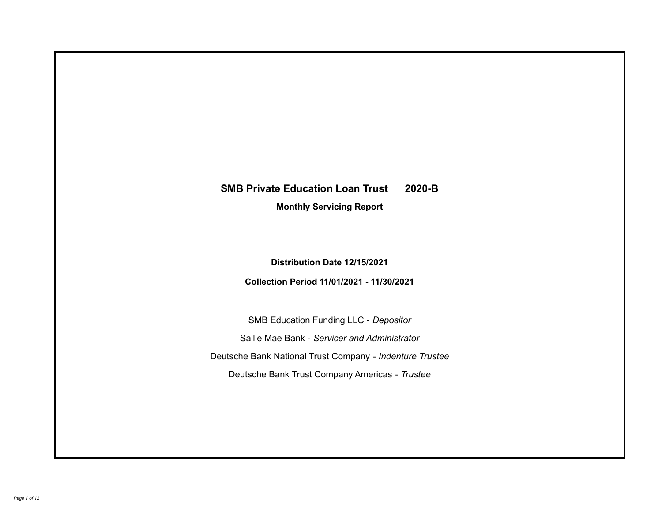# **SMB Private Education Loan Trust 2020-B**

**Monthly Servicing Report**

**Distribution Date 12/15/2021**

**Collection Period 11/01/2021 - 11/30/2021**

SMB Education Funding LLC - *Depositor* Sallie Mae Bank - *Servicer and Administrator* Deutsche Bank National Trust Company - *Indenture Trustee* Deutsche Bank Trust Company Americas - *Trustee*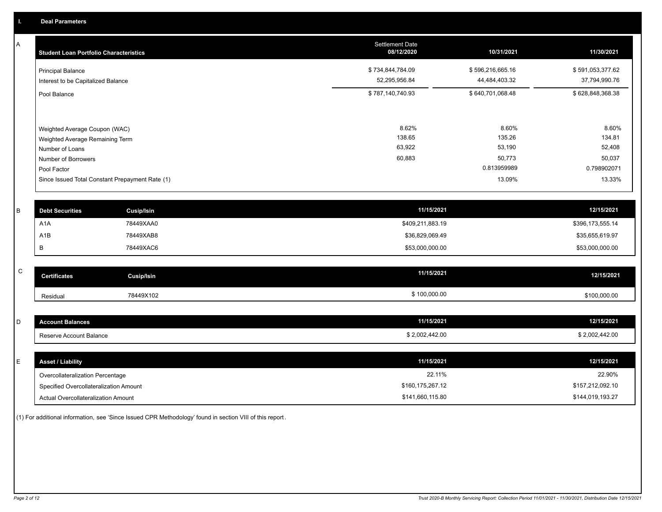A

| <b>Student Loan Portfolio Characteristics</b>                  | <b>Settlement Date</b><br>08/12/2020 | 10/31/2021                        | 11/30/2021                        |
|----------------------------------------------------------------|--------------------------------------|-----------------------------------|-----------------------------------|
| <b>Principal Balance</b><br>Interest to be Capitalized Balance | \$734,844,784.09<br>52,295,956.84    | \$596,216,665.16<br>44,484,403.32 | \$591,053,377.62<br>37,794,990.76 |
| Pool Balance                                                   | \$787,140,740.93                     | \$640,701,068.48                  | \$628,848,368.38                  |
|                                                                |                                      |                                   |                                   |
| Weighted Average Coupon (WAC)                                  | 8.62%                                | 8.60%                             | 8.60%                             |
| Weighted Average Remaining Term                                | 138.65                               | 135.26                            | 134.81                            |
| Number of Loans                                                | 63,922                               | 53,190                            | 52,408                            |
| Number of Borrowers                                            | 60,883                               | 50,773                            | 50,037                            |
| Pool Factor                                                    |                                      | 0.813959989                       | 0.798902071                       |
| Since Issued Total Constant Prepayment Rate (1)                |                                      | 13.09%                            | 13.33%                            |
|                                                                |                                      |                                   |                                   |
| <b>Debt Securities</b><br>Cusip/Isin                           | 11/15/2021                           |                                   | 12/15/2021                        |

| <b>Debt Securities</b> | Cusip/Isin | 11/15/2021       | 12/15/2021       |
|------------------------|------------|------------------|------------------|
| A <sub>1</sub> A       | 78449XAA0  | \$409,211,883.19 | \$396,173,555.14 |
| A1B                    | 78449XAB8  | \$36,829,069.49  | \$35,655,619.97  |
|                        | 78449XAC6  | \$53,000,000.00  | \$53,000,000.00  |
|                        |            |                  |                  |

| $\sim$<br>◡ | <b>Certificates</b> | Cusip/Isin | 11/15/2021   | 12/15/2021   |
|-------------|---------------------|------------|--------------|--------------|
|             | Residua             | 78449X102  | \$100,000.00 | \$100,000.00 |

| ount Balances             | 11/15/2021                    | 12/15/2021           |
|---------------------------|-------------------------------|----------------------|
| eserve Account Balance، ، | 2,002,442.00<br>$\sim$ $\sim$ | 0.00<br>_,UUZ,44Z.UU |

| E. | <b>Asset / Liability</b>               | 11/15/2021       | 12/15/2021       |
|----|----------------------------------------|------------------|------------------|
|    | Overcollateralization Percentage       | 22.11%           | 22.90%           |
|    | Specified Overcollateralization Amount | \$160,175,267.12 | \$157,212,092.10 |
|    | Actual Overcollateralization Amount    | \$141,660,115.80 | \$144,019,193.27 |

(1) For additional information, see 'Since Issued CPR Methodology' found in section VIII of this report .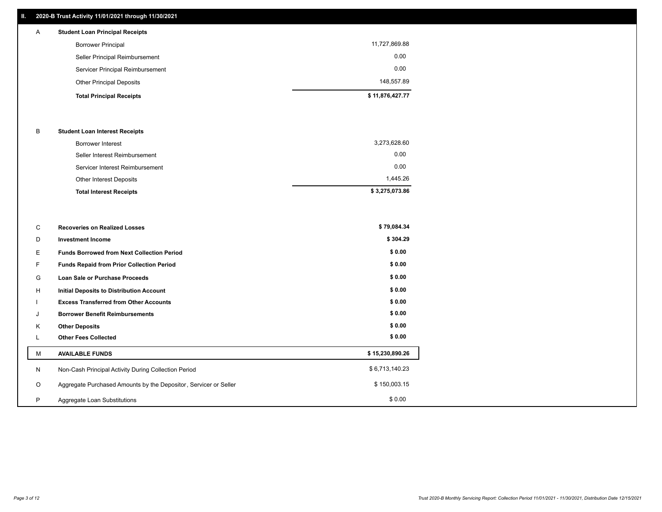## **II. 2020-B Trust Activity 11/01/2021 through 11/30/2021**

## Servicer Principal Reimbursement 0.00 Seller Principal Reimbursement 0.00 Borrower Principal 11,727,869.88 A **Student Loan Principal Receipts**

| Other Principal Deposits        | 148.557.89      |
|---------------------------------|-----------------|
| <b>Total Principal Receipts</b> | \$11.876.427.77 |

#### B **Student Loan Interest Receipts**

| <b>Total Interest Receipts</b>  | \$3,275,073.86 |
|---------------------------------|----------------|
| <b>Other Interest Deposits</b>  | 1.445.26       |
| Servicer Interest Reimbursement | 0.00           |
| Seller Interest Reimbursement   | 0.00           |
| Borrower Interest               | 3,273,628.60   |

| C       | <b>Recoveries on Realized Losses</b>                             | \$79,084.34     |
|---------|------------------------------------------------------------------|-----------------|
| D       | <b>Investment Income</b>                                         | \$304.29        |
| E.      | <b>Funds Borrowed from Next Collection Period</b>                | \$0.00          |
| F       | <b>Funds Repaid from Prior Collection Period</b>                 | \$0.00          |
| G       | Loan Sale or Purchase Proceeds                                   | \$0.00          |
| H       | <b>Initial Deposits to Distribution Account</b>                  | \$0.00          |
|         | <b>Excess Transferred from Other Accounts</b>                    | \$0.00          |
| J       | <b>Borrower Benefit Reimbursements</b>                           | \$0.00          |
| K       | <b>Other Deposits</b>                                            | \$0.00          |
| L.      | <b>Other Fees Collected</b>                                      | \$0.00          |
| M       | <b>AVAILABLE FUNDS</b>                                           | \$15,230,890.26 |
| N       | Non-Cash Principal Activity During Collection Period             | \$6,713,140.23  |
| $\circ$ | Aggregate Purchased Amounts by the Depositor, Servicer or Seller | \$150,003.15    |
| P       | Aggregate Loan Substitutions                                     | \$0.00          |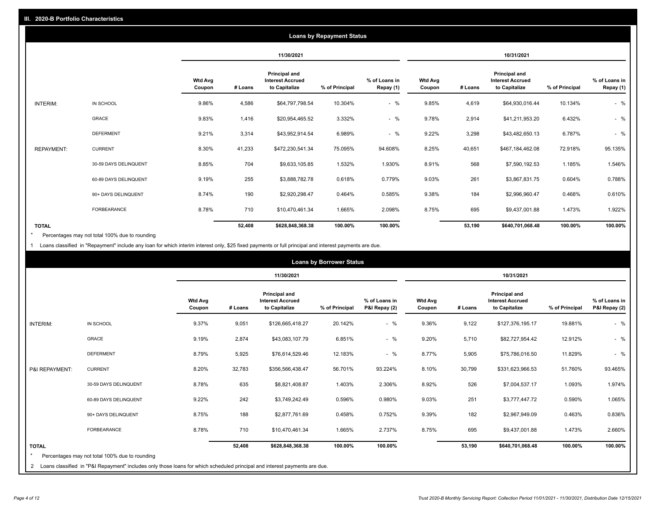|                   |                       |                          |         |                                                                  | <b>Loans by Repayment Status</b> |                            |                          |         |                                                           |                |                            |
|-------------------|-----------------------|--------------------------|---------|------------------------------------------------------------------|----------------------------------|----------------------------|--------------------------|---------|-----------------------------------------------------------|----------------|----------------------------|
|                   |                       |                          |         | 11/30/2021                                                       |                                  |                            |                          |         | 10/31/2021                                                |                |                            |
|                   |                       | <b>Wtd Avg</b><br>Coupon | # Loans | <b>Principal and</b><br><b>Interest Accrued</b><br>to Capitalize | % of Principal                   | % of Loans in<br>Repay (1) | <b>Wtd Avg</b><br>Coupon | # Loans | Principal and<br><b>Interest Accrued</b><br>to Capitalize | % of Principal | % of Loans in<br>Repay (1) |
| INTERIM:          | IN SCHOOL             | 9.86%                    | 4,586   | \$64,797,798.54                                                  | 10.304%                          | $-$ %                      | 9.85%                    | 4,619   | \$64,930,016.44                                           | 10.134%        | $-$ %                      |
|                   | GRACE                 | 9.83%                    | 1,416   | \$20,954,465.52                                                  | 3.332%                           | $-$ %                      | 9.78%                    | 2,914   | \$41,211,953.20                                           | 6.432%         | $-$ %                      |
|                   | <b>DEFERMENT</b>      | 9.21%                    | 3,314   | \$43,952,914.54                                                  | 6.989%                           | $-$ %                      | 9.22%                    | 3,298   | \$43,482,650.13                                           | 6.787%         | $-$ %                      |
| <b>REPAYMENT:</b> | <b>CURRENT</b>        | 8.30%                    | 41,233  | \$472,230,541.34                                                 | 75.095%                          | 94.608%                    | 8.25%                    | 40,651  | \$467,184,462.08                                          | 72.918%        | 95.135%                    |
|                   | 30-59 DAYS DELINQUENT | 8.85%                    | 704     | \$9,633,105.85                                                   | 1.532%                           | 1.930%                     | 8.91%                    | 568     | \$7,590,192.53                                            | 1.185%         | 1.546%                     |
|                   | 60-89 DAYS DELINQUENT | 9.19%                    | 255     | \$3,888,782.78                                                   | 0.618%                           | 0.779%                     | 9.03%                    | 261     | \$3,867,831.75                                            | 0.604%         | 0.788%                     |
|                   | 90+ DAYS DELINQUENT   | 8.74%                    | 190     | \$2,920,298.47                                                   | 0.464%                           | 0.585%                     | 9.38%                    | 184     | \$2,996,960.47                                            | 0.468%         | 0.610%                     |
|                   | <b>FORBEARANCE</b>    | 8.78%                    | 710     | \$10,470,461.34                                                  | 1.665%                           | 2.098%                     | 8.75%                    | 695     | \$9,437,001.88                                            | 1.473%         | 1.922%                     |
| <b>TOTAL</b>      |                       |                          | 52,408  | \$628,848,368.38                                                 | 100.00%                          | 100.00%                    |                          | 53,190  | \$640,701,068.48                                          | 100.00%        | 100.00%                    |

Percentages may not total 100% due to rounding \*

1 Loans classified in "Repayment" include any loan for which interim interest only, \$25 fixed payments or full principal and interest payments are due.

|                         | <b>Loans by Borrower Status</b>                                                                                              |                          |         |                                                                  |                |                                |                          |         |                                                                  |                |                                |
|-------------------------|------------------------------------------------------------------------------------------------------------------------------|--------------------------|---------|------------------------------------------------------------------|----------------|--------------------------------|--------------------------|---------|------------------------------------------------------------------|----------------|--------------------------------|
|                         |                                                                                                                              |                          |         | 11/30/2021                                                       |                |                                | 10/31/2021               |         |                                                                  |                |                                |
|                         |                                                                                                                              | <b>Wtd Avg</b><br>Coupon | # Loans | <b>Principal and</b><br><b>Interest Accrued</b><br>to Capitalize | % of Principal | % of Loans in<br>P&I Repay (2) | <b>Wtd Avg</b><br>Coupon | # Loans | <b>Principal and</b><br><b>Interest Accrued</b><br>to Capitalize | % of Principal | % of Loans in<br>P&I Repay (2) |
| <b>INTERIM:</b>         | IN SCHOOL                                                                                                                    | 9.37%                    | 9,051   | \$126,665,418.27                                                 | 20.142%        | $-$ %                          | 9.36%                    | 9,122   | \$127,376,195.17                                                 | 19.881%        | $-$ %                          |
|                         | <b>GRACE</b>                                                                                                                 | 9.19%                    | 2,874   | \$43,083,107.79                                                  | 6.851%         | $-$ %                          | 9.20%                    | 5,710   | \$82,727,954.42                                                  | 12.912%        | $-$ %                          |
|                         | <b>DEFERMENT</b>                                                                                                             | 8.79%                    | 5,925   | \$76,614,529.46                                                  | 12.183%        | $-$ %                          | 8.77%                    | 5,905   | \$75,786,016.50                                                  | 11.829%        | $-$ %                          |
| P&I REPAYMENT:          | <b>CURRENT</b>                                                                                                               | 8.20%                    | 32,783  | \$356,566,438.47                                                 | 56.701%        | 93.224%                        | 8.10%                    | 30,799  | \$331,623,966.53                                                 | 51.760%        | 93.465%                        |
|                         | 30-59 DAYS DELINQUENT                                                                                                        | 8.78%                    | 635     | \$8,821,408.87                                                   | 1.403%         | 2.306%                         | 8.92%                    | 526     | \$7,004,537.17                                                   | 1.093%         | 1.974%                         |
|                         | 60-89 DAYS DELINQUENT                                                                                                        | 9.22%                    | 242     | \$3,749,242.49                                                   | 0.596%         | 0.980%                         | 9.03%                    | 251     | \$3,777,447.72                                                   | 0.590%         | 1.065%                         |
|                         | 90+ DAYS DELINQUENT                                                                                                          | 8.75%                    | 188     | \$2,877,761.69                                                   | 0.458%         | 0.752%                         | 9.39%                    | 182     | \$2,967,949.09                                                   | 0.463%         | 0.836%                         |
|                         | FORBEARANCE                                                                                                                  | 8.78%                    | 710     | \$10,470,461.34                                                  | 1.665%         | 2.737%                         | 8.75%                    | 695     | \$9,437,001.88                                                   | 1.473%         | 2.660%                         |
| <b>TOTAL</b><br>$\star$ | Percentages may not total 100% due to rounding                                                                               |                          | 52,408  | \$628,848,368.38                                                 | 100.00%        | 100.00%                        |                          | 53,190  | \$640,701,068.48                                                 | 100.00%        | 100.00%                        |
|                         | 2 Loans classified in "P&I Repayment" includes only those loans for which scheduled principal and interest payments are due. |                          |         |                                                                  |                |                                |                          |         |                                                                  |                |                                |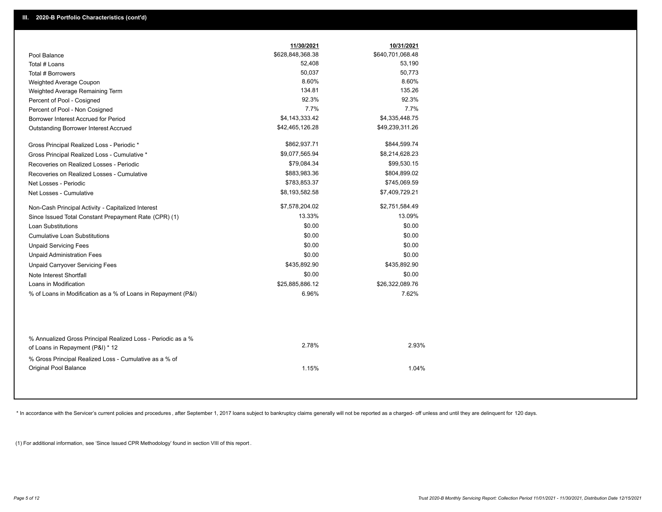|                                                                                                  | 11/30/2021       | 10/31/2021       |
|--------------------------------------------------------------------------------------------------|------------------|------------------|
| Pool Balance                                                                                     | \$628,848,368.38 | \$640,701,068.48 |
| Total # Loans                                                                                    | 52,408           | 53,190           |
| Total # Borrowers                                                                                | 50,037           | 50,773           |
| Weighted Average Coupon                                                                          | 8.60%            | 8.60%            |
| Weighted Average Remaining Term                                                                  | 134.81           | 135.26           |
| Percent of Pool - Cosigned                                                                       | 92.3%            | 92.3%            |
| Percent of Pool - Non Cosigned                                                                   | 7.7%             | 7.7%             |
| Borrower Interest Accrued for Period                                                             | \$4,143,333.42   | \$4,335,448.75   |
| Outstanding Borrower Interest Accrued                                                            | \$42,465,126.28  | \$49,239,311.26  |
| Gross Principal Realized Loss - Periodic *                                                       | \$862,937.71     | \$844,599.74     |
| Gross Principal Realized Loss - Cumulative *                                                     | \$9,077,565.94   | \$8,214,628.23   |
| Recoveries on Realized Losses - Periodic                                                         | \$79,084.34      | \$99,530.15      |
| Recoveries on Realized Losses - Cumulative                                                       | \$883,983.36     | \$804,899.02     |
| Net Losses - Periodic                                                                            | \$783,853.37     | \$745,069.59     |
| Net Losses - Cumulative                                                                          | \$8,193,582.58   | \$7,409,729.21   |
| Non-Cash Principal Activity - Capitalized Interest                                               | \$7,578,204.02   | \$2,751,584.49   |
| Since Issued Total Constant Prepayment Rate (CPR) (1)                                            | 13.33%           | 13.09%           |
| Loan Substitutions                                                                               | \$0.00           | \$0.00           |
| <b>Cumulative Loan Substitutions</b>                                                             | \$0.00           | \$0.00           |
| <b>Unpaid Servicing Fees</b>                                                                     | \$0.00           | \$0.00           |
| <b>Unpaid Administration Fees</b>                                                                | \$0.00           | \$0.00           |
| <b>Unpaid Carryover Servicing Fees</b>                                                           | \$435,892.90     | \$435,892.90     |
| Note Interest Shortfall                                                                          | \$0.00           | \$0.00           |
| Loans in Modification                                                                            | \$25,885,886.12  | \$26,322,089.76  |
| % of Loans in Modification as a % of Loans in Repayment (P&I)                                    | 6.96%            | 7.62%            |
|                                                                                                  |                  |                  |
| % Annualized Gross Principal Realized Loss - Periodic as a %<br>of Loans in Repayment (P&I) * 12 | 2.78%            | 2.93%            |
| % Gross Principal Realized Loss - Cumulative as a % of<br><b>Original Pool Balance</b>           | 1.15%            | 1.04%            |

\* In accordance with the Servicer's current policies and procedures, after September 1, 2017 loans subject to bankruptcy claims generally will not be reported as a charged- off unless and until they are delinquent for 120

(1) For additional information, see 'Since Issued CPR Methodology' found in section VIII of this report .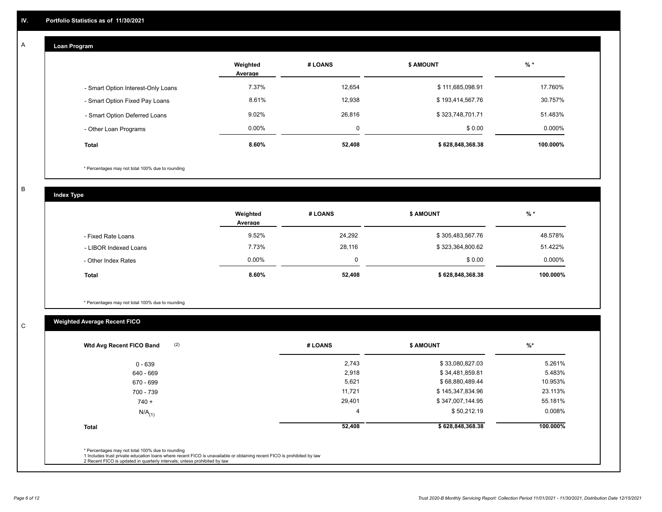## **Loan Program**

A

|                                    | Weighted<br>Average | # LOANS     | <b>\$ AMOUNT</b> | $%$ *     |
|------------------------------------|---------------------|-------------|------------------|-----------|
| - Smart Option Interest-Only Loans | 7.37%               | 12,654      | \$111,685,098.91 | 17.760%   |
| - Smart Option Fixed Pay Loans     | 8.61%               | 12,938      | \$193,414,567.76 | 30.757%   |
| - Smart Option Deferred Loans      | 9.02%               | 26,816      | \$323,748,701.71 | 51.483%   |
| - Other Loan Programs              | $0.00\%$            | $\mathbf 0$ | \$0.00           | $0.000\%$ |
| <b>Total</b>                       | 8.60%               | 52,408      | \$628,848,368.38 | 100.000%  |

\* Percentages may not total 100% due to rounding

B

C

**Index Type**

|                       | Weighted<br>Average | # LOANS | <b>\$ AMOUNT</b> | $%$ *     |
|-----------------------|---------------------|---------|------------------|-----------|
| - Fixed Rate Loans    | 9.52%               | 24,292  | \$305,483,567.76 | 48.578%   |
| - LIBOR Indexed Loans | 7.73%               | 28,116  | \$323,364,800.62 | 51.422%   |
| - Other Index Rates   | $0.00\%$            |         | \$0.00           | $0.000\%$ |
| <b>Total</b>          | 8.60%               | 52,408  | \$628,848,368.38 | 100.000%  |

\* Percentages may not total 100% due to rounding

## **Weighted Average Recent FICO**

| 2,743<br>2,918<br>5,621 | \$33,080,827.03<br>\$34,481,859.81<br>\$68,880,489.44 | 5.261%<br>5.483%<br>10.953% |
|-------------------------|-------------------------------------------------------|-----------------------------|
|                         |                                                       |                             |
|                         |                                                       |                             |
|                         |                                                       |                             |
| 11,721                  | \$145,347,834.96                                      | 23.113%                     |
| 29,401                  | \$347,007,144.95                                      | 55.181%                     |
| -4                      | \$50,212.19                                           | $0.008\%$                   |
| 52,408                  | \$628,848,368.38                                      | 100.000%                    |
|                         |                                                       |                             |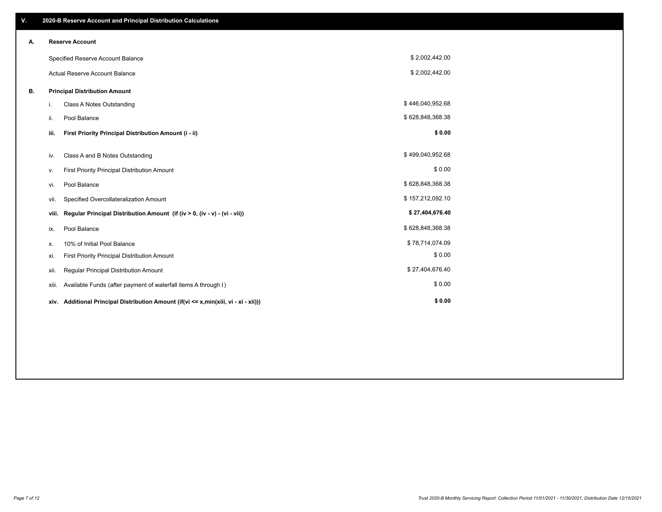| V. |       | 2020-B Reserve Account and Principal Distribution Calculations                       |                  |  |
|----|-------|--------------------------------------------------------------------------------------|------------------|--|
| А. |       | <b>Reserve Account</b>                                                               |                  |  |
|    |       | Specified Reserve Account Balance                                                    | \$2,002,442.00   |  |
|    |       | <b>Actual Reserve Account Balance</b>                                                | \$2,002,442.00   |  |
| В. |       | <b>Principal Distribution Amount</b>                                                 |                  |  |
|    | i.    | Class A Notes Outstanding                                                            | \$446,040,952.68 |  |
|    | ii.   | Pool Balance                                                                         | \$628,848,368.38 |  |
|    | iii.  | First Priority Principal Distribution Amount (i - ii)                                | \$0.00           |  |
|    | iv.   | Class A and B Notes Outstanding                                                      | \$499,040,952.68 |  |
|    | ν.    | First Priority Principal Distribution Amount                                         | \$0.00           |  |
|    | vi.   | Pool Balance                                                                         | \$628,848,368.38 |  |
|    | vii.  | Specified Overcollateralization Amount                                               | \$157,212,092.10 |  |
|    | viii. | Regular Principal Distribution Amount (if (iv > 0, (iv - v) - (vi - vii))            | \$27,404,676.40  |  |
|    | ix.   | Pool Balance                                                                         | \$628,848,368.38 |  |
|    | х.    | 10% of Initial Pool Balance                                                          | \$78,714,074.09  |  |
|    | xi.   | First Priority Principal Distribution Amount                                         | \$0.00           |  |
|    | xii.  | Regular Principal Distribution Amount                                                | \$27,404,676.40  |  |
|    | XIII. | Available Funds (after payment of waterfall items A through I)                       | \$0.00           |  |
|    |       | xiv. Additional Principal Distribution Amount (if(vi <= x,min(xiii, vi - xi - xii))) | \$0.00           |  |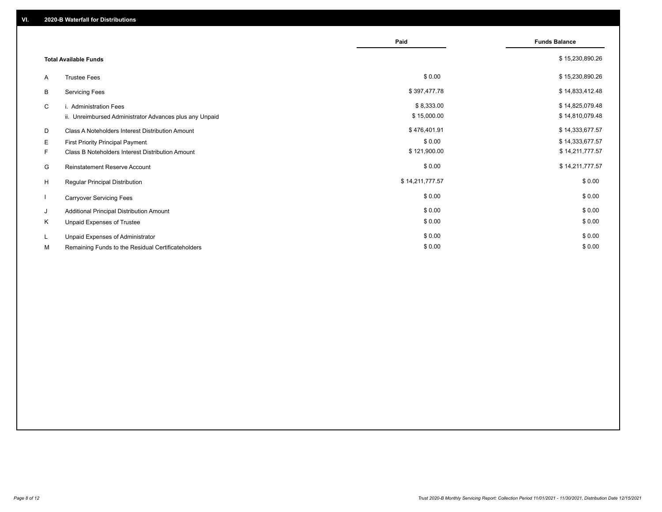|    |                                                         | Paid            | <b>Funds Balance</b> |
|----|---------------------------------------------------------|-----------------|----------------------|
|    | <b>Total Available Funds</b>                            |                 | \$15,230,890.26      |
| A  | <b>Trustee Fees</b>                                     | \$0.00          | \$15,230,890.26      |
| В  | <b>Servicing Fees</b>                                   | \$397,477.78    | \$14,833,412.48      |
| C  | i. Administration Fees                                  | \$8,333.00      | \$14,825,079.48      |
|    | ii. Unreimbursed Administrator Advances plus any Unpaid | \$15,000.00     | \$14,810,079.48      |
| D  | Class A Noteholders Interest Distribution Amount        | \$476,401.91    | \$14,333,677.57      |
| Е  | First Priority Principal Payment                        | \$0.00          | \$14,333,677.57      |
| F. | Class B Noteholders Interest Distribution Amount        | \$121,900.00    | \$14,211,777.57      |
| G  | <b>Reinstatement Reserve Account</b>                    | \$0.00          | \$14,211,777.57      |
| H  | Regular Principal Distribution                          | \$14,211,777.57 | \$0.00               |
|    | <b>Carryover Servicing Fees</b>                         | \$0.00          | \$0.00               |
| J  | Additional Principal Distribution Amount                | \$0.00          | \$0.00               |
| Κ  | Unpaid Expenses of Trustee                              | \$0.00          | \$0.00               |
| L. | Unpaid Expenses of Administrator                        | \$0.00          | \$0.00               |
| М  | Remaining Funds to the Residual Certificateholders      | \$0.00          | \$0.00               |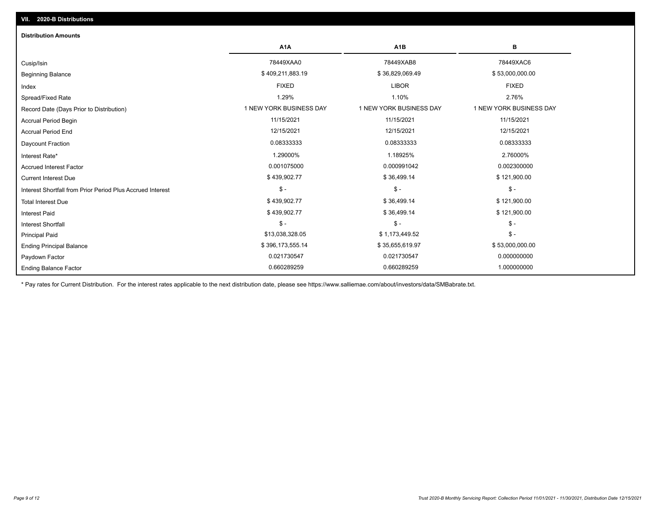| <b>Distribution Amounts</b>                                |                         |                         |                         |
|------------------------------------------------------------|-------------------------|-------------------------|-------------------------|
|                                                            | A <sub>1</sub> A        | A <sub>1</sub> B        | в                       |
| Cusip/Isin                                                 | 78449XAA0               | 78449XAB8               | 78449XAC6               |
| <b>Beginning Balance</b>                                   | \$409,211,883.19        | \$36,829,069.49         | \$53,000,000.00         |
| Index                                                      | <b>FIXED</b>            | <b>LIBOR</b>            | <b>FIXED</b>            |
| Spread/Fixed Rate                                          | 1.29%                   | 1.10%                   | 2.76%                   |
| Record Date (Days Prior to Distribution)                   | 1 NEW YORK BUSINESS DAY | 1 NEW YORK BUSINESS DAY | 1 NEW YORK BUSINESS DAY |
| <b>Accrual Period Begin</b>                                | 11/15/2021              | 11/15/2021              | 11/15/2021              |
| <b>Accrual Period End</b>                                  | 12/15/2021              | 12/15/2021              | 12/15/2021              |
| Daycount Fraction                                          | 0.08333333              | 0.08333333              | 0.08333333              |
| Interest Rate*                                             | 1.29000%                | 1.18925%                | 2.76000%                |
| <b>Accrued Interest Factor</b>                             | 0.001075000             | 0.000991042             | 0.002300000             |
| <b>Current Interest Due</b>                                | \$439,902.77            | \$36,499.14             | \$121,900.00            |
| Interest Shortfall from Prior Period Plus Accrued Interest | $\mathsf{\$}$ -         | $\mathcal{S}$ -         | $\frac{1}{2}$           |
| <b>Total Interest Due</b>                                  | \$439,902.77            | \$36,499.14             | \$121,900.00            |
| <b>Interest Paid</b>                                       | \$439,902.77            | \$36,499.14             | \$121,900.00            |
| <b>Interest Shortfall</b>                                  | $\mathsf{\$}$ -         | $$ -$                   | $\mathsf{\$}$ -         |
| <b>Principal Paid</b>                                      | \$13,038,328.05         | \$1,173,449.52          | $$ -$                   |
| <b>Ending Principal Balance</b>                            | \$396,173,555.14        | \$35,655,619.97         | \$53,000,000.00         |
| Paydown Factor                                             | 0.021730547             | 0.021730547             | 0.000000000             |
| <b>Ending Balance Factor</b>                               | 0.660289259             | 0.660289259             | 1.000000000             |

\* Pay rates for Current Distribution. For the interest rates applicable to the next distribution date, please see https://www.salliemae.com/about/investors/data/SMBabrate.txt.

**VII. 2020-B Distributions**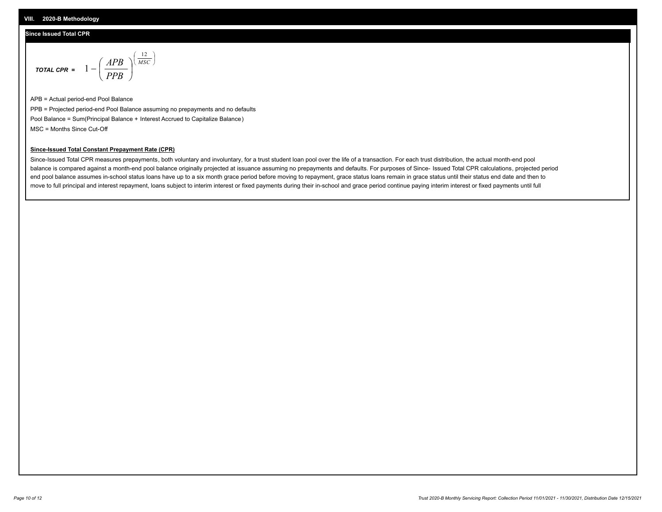### **Since Issued Total CPR**

$$
\text{total cPR} = 1 - \left(\frac{APB}{PPB}\right)^{\left(\frac{12}{MSC}\right)}
$$

APB = Actual period-end Pool Balance PPB = Projected period-end Pool Balance assuming no prepayments and no defaults Pool Balance = Sum(Principal Balance + Interest Accrued to Capitalize Balance) MSC = Months Since Cut-Off

I J Ι

#### **Since-Issued Total Constant Prepayment Rate (CPR)**

Since-Issued Total CPR measures prepayments, both voluntary and involuntary, for a trust student loan pool over the life of a transaction. For each trust distribution, the actual month-end pool balance is compared against a month-end pool balance originally projected at issuance assuming no prepayments and defaults. For purposes of Since- Issued Total CPR calculations, projected period end pool balance assumes in-school status loans have up to a six month grace period before moving to repayment, grace status loans remain in grace status until their status end date and then to move to full principal and interest repayment, loans subject to interim interest or fixed payments during their in-school and grace period continue paying interim interest or fixed payments until full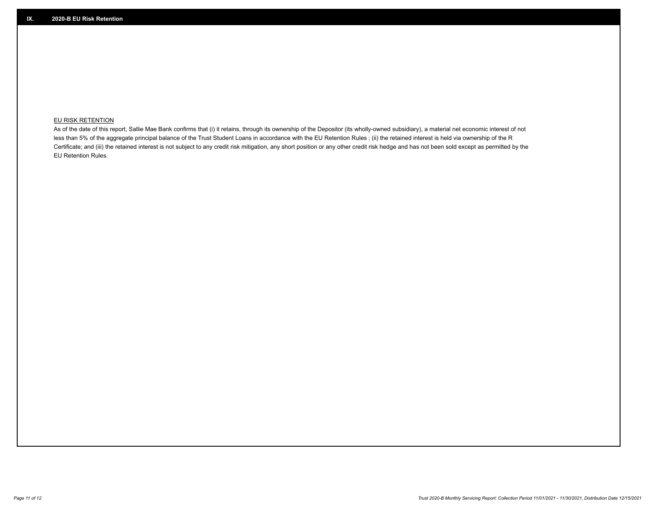## **EU RISK RETENTION**

As of the date of this report, Sallie Mae Bank confirms that (i) it retains, through its ownership of the Depositor (its wholly-owned subsidiary), a material net economic interest of not less than 5% of the aggregate principal balance of the Trust Student Loans in accordance with the EU Retention Rules ; (ii) the retained interest is held via ownership of the R Certificate; and (iii) the retained interest is not subject to any credit risk mitigation, any short position or any other credit risk hedge and has not been sold except as permitted by the EU Retention Rules.